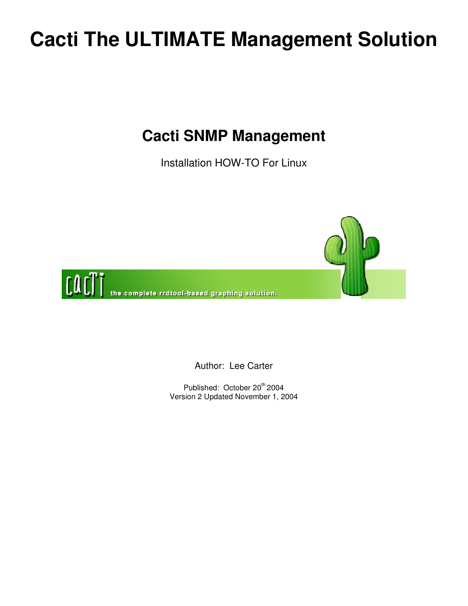## **Cacti The ULTIMATE Management Solution**

## **Cacti SNMP Management**

Installation HOW-TO For Linux



Author: Lee Carter

Published: October 20<sup>th</sup> 2004 Version 2 Updated November 1, 2004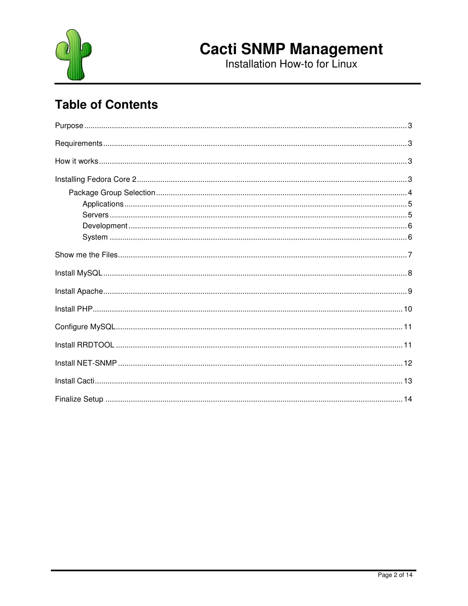

# **Cacti SNMP Management**<br>Installation How-to for Linux

## **Table of Contents**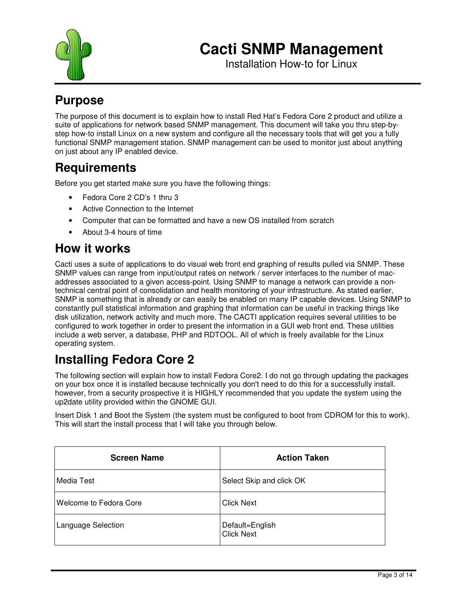

Installation How-to for Linux

### **Purpose**

The purpose of this document is to explain how to install Red Hat's Fedora Core 2 product and utilize a suite of applications for network based SNMP management. This document will take you thru step-bystep how-to install Linux on a new system and configure all the necessary tools that will get you a fully functional SNMP management station. SNMP management can be used to monitor just about anything on just about any IP enabled device.

### **Requirements**

Before you get started make sure you have the following things:

- Fedora Core 2 CD's 1 thru 3
- Active Connection to the Internet
- Computer that can be formatted and have a new OS installed from scratch
- About 3-4 hours of time

### **How it works**

Cacti uses a suite of applications to do visual web front end graphing of results pulled via SNMP. These SNMP values can range from input/output rates on network / server interfaces to the number of macaddresses associated to a given access-point. Using SNMP to manage a network can provide a nontechnical central point of consolidation and health monitoring of your infrastructure. As stated earlier, SNMP is something that is already or can easily be enabled on many IP capable devices. Using SNMP to constantly pull statistical information and graphing that information can be useful in tracking things like disk utilization, network activity and much more. The CACTI application requires several utilities to be configured to work together in order to present the information in a GUI web front end. These utilities include a web server, a database, PHP and RDTOOL. All of which is freely available for the Linux operating system.

## **Installing Fedora Core 2**

The following section will explain how to install Fedora Core2. I do not go through updating the packages on your box once it is installed because technically you don't need to do this for a successfully install. however, from a security prospective it is HIGHLY recommended that you update the system using the up2date utility provided within the GNOME GUI.

Insert Disk 1 and Boot the System (the system must be configured to boot from CDROM for this to work). This will start the install process that I will take you through below.

| <b>Screen Name</b>     | <b>Action Taken</b>                  |
|------------------------|--------------------------------------|
| Media Test             | Select Skip and click OK             |
| Welcome to Fedora Core | <b>Click Next</b>                    |
| Language Selection     | Default=English<br><b>Click Next</b> |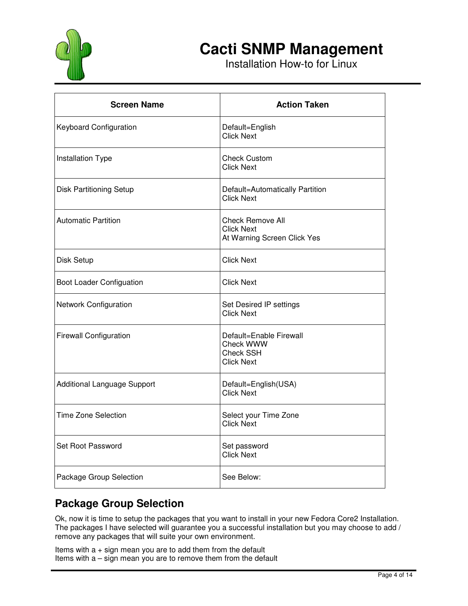

Installation How-to for Linux

| <b>Screen Name</b>              | <b>Action Taken</b>                                                         |
|---------------------------------|-----------------------------------------------------------------------------|
| Keyboard Configuration          | Default=English<br><b>Click Next</b>                                        |
| Installation Type               | <b>Check Custom</b><br><b>Click Next</b>                                    |
| <b>Disk Partitioning Setup</b>  | Default=Automatically Partition<br>Click Next                               |
| <b>Automatic Partition</b>      | <b>Check Remove All</b><br><b>Click Next</b><br>At Warning Screen Click Yes |
| Disk Setup                      | <b>Click Next</b>                                                           |
| <b>Boot Loader Configuation</b> | <b>Click Next</b>                                                           |
| <b>Network Configuration</b>    | Set Desired IP settings<br><b>Click Next</b>                                |
| <b>Firewall Configuration</b>   | Default=Enable Firewall<br>Check WWW<br>Check SSH<br><b>Click Next</b>      |
| Additional Language Support     | Default=English(USA)<br><b>Click Next</b>                                   |
| <b>Time Zone Selection</b>      | Select your Time Zone<br><b>Click Next</b>                                  |
| Set Root Password               | Set password<br><b>Click Next</b>                                           |
| Package Group Selection         | See Below:                                                                  |

#### **Package Group Selection**

Ok, now it is time to setup the packages that you want to install in your new Fedora Core2 Installation. The packages I have selected will guarantee you a successful installation but you may choose to add / remove any packages that will suite your own environment.

Items with  $a + sign$  mean you are to add them from the default Items with a – sign mean you are to remove them from the default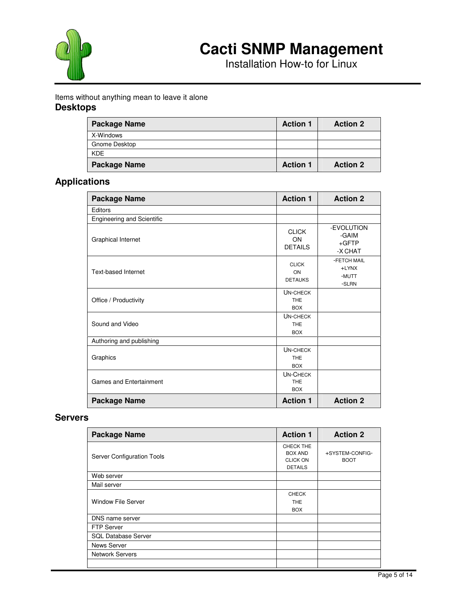

Installation How-to for Linux

#### Items without anything mean to leave it alone **Desktops**

| Package Name        | <b>Action 1</b> | <b>Action 2</b> |
|---------------------|-----------------|-----------------|
| X-Windows           |                 |                 |
| Gnome Desktop       |                 |                 |
| <b>KDE</b>          |                 |                 |
| <b>Package Name</b> | <b>Action 1</b> | <b>Action 2</b> |

#### **Applications**

| <b>Package Name</b>               | <b>Action 1</b>                             | <b>Action 2</b>                           |
|-----------------------------------|---------------------------------------------|-------------------------------------------|
| Editors                           |                                             |                                           |
| <b>Engineering and Scientific</b> |                                             |                                           |
| Graphical Internet                | <b>CLICK</b><br>ON<br><b>DETAILS</b>        | -EVOLUTION<br>-GAIM<br>$+GFTP$<br>-X CHAT |
| <b>Text-based Internet</b>        | <b>CLICK</b><br>ON<br><b>DETAUKS</b>        | -FETCH MAIL<br>+LYNX<br>-MUTT<br>-SLRN    |
| Office / Productivity             | UN-CHECK<br><b>THE</b><br><b>BOX</b>        |                                           |
| Sound and Video                   | <b>UN-CHECK</b><br><b>THE</b><br><b>BOX</b> |                                           |
| Authoring and publishing          |                                             |                                           |
| Graphics                          | UN-CHECK<br><b>THE</b><br><b>BOX</b>        |                                           |
| <b>Games and Entertainment</b>    | <b>UN-CHECK</b><br><b>THE</b><br><b>BOX</b> |                                           |
| <b>Package Name</b>               | <b>Action 1</b>                             | <b>Action 2</b>                           |

#### **Servers**

| <b>Package Name</b>        | <b>Action 1</b>                                                  | <b>Action 2</b>                |
|----------------------------|------------------------------------------------------------------|--------------------------------|
| Server Configuration Tools | CHECK THE<br><b>BOX AND</b><br><b>CLICK ON</b><br><b>DETAILS</b> | +SYSTEM-CONFIG-<br><b>BOOT</b> |
| Web server                 |                                                                  |                                |
| Mail server                |                                                                  |                                |
| <b>Window File Server</b>  | <b>CHECK</b><br><b>THE</b><br><b>BOX</b>                         |                                |
| DNS name server            |                                                                  |                                |
| <b>FTP Server</b>          |                                                                  |                                |
| <b>SQL Database Server</b> |                                                                  |                                |
| News Server                |                                                                  |                                |
| <b>Network Servers</b>     |                                                                  |                                |
|                            |                                                                  |                                |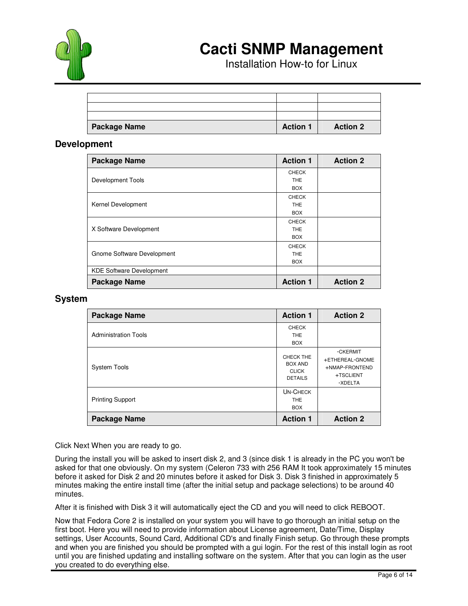

Installation How-to for Linux

| <b>Package Name</b> | <b>Action 1</b> | <b>Action 2</b> |
|---------------------|-----------------|-----------------|
|                     |                 |                 |
|                     |                 |                 |
|                     |                 |                 |

#### **Development**

| <b>Package Name</b>             | <b>Action 1</b> | <b>Action 2</b> |
|---------------------------------|-----------------|-----------------|
|                                 | <b>CHECK</b>    |                 |
| Development Tools               | <b>THE</b>      |                 |
|                                 | <b>BOX</b>      |                 |
|                                 | <b>CHECK</b>    |                 |
| Kernel Development              | THE             |                 |
|                                 | <b>BOX</b>      |                 |
|                                 | <b>CHECK</b>    |                 |
| X Software Development          | <b>THE</b>      |                 |
|                                 | <b>BOX</b>      |                 |
|                                 | <b>CHECK</b>    |                 |
| Gnome Software Development      | <b>THE</b>      |                 |
|                                 | <b>BOX</b>      |                 |
| <b>KDE Software Development</b> |                 |                 |
| <b>Package Name</b>             | <b>Action 1</b> | <b>Action 2</b> |

#### **System**

| Package Name                | <b>Action 1</b>                                               | <b>Action 2</b>                                                       |
|-----------------------------|---------------------------------------------------------------|-----------------------------------------------------------------------|
| <b>Administration Tools</b> | <b>CHECK</b><br><b>THE</b><br><b>BOX</b>                      |                                                                       |
| <b>System Tools</b>         | CHECK THE<br><b>BOX AND</b><br><b>CLICK</b><br><b>DETAILS</b> | -CKERMIT<br>+ETHEREAL-GNOME<br>+NMAP-FRONTEND<br>+TSCLIENT<br>-XDELTA |
| <b>Printing Support</b>     | <b>UN-CHECK</b><br><b>THE</b><br><b>BOX</b>                   |                                                                       |
| Package Name                | <b>Action 1</b>                                               | <b>Action 2</b>                                                       |

Click Next When you are ready to go.

During the install you will be asked to insert disk 2, and 3 (since disk 1 is already in the PC you won't be asked for that one obviously. On my system (Celeron 733 with 256 RAM It took approximately 15 minutes before it asked for Disk 2 and 20 minutes before it asked for Disk 3. Disk 3 finished in approximately 5 minutes making the entire install time (after the initial setup and package selections) to be around 40 minutes.

After it is finished with Disk 3 it will automatically eject the CD and you will need to click REBOOT.

Now that Fedora Core 2 is installed on your system you will have to go thorough an initial setup on the first boot. Here you will need to provide information about License agreement, Date/Time, Display settings, User Accounts, Sound Card, Additional CD's and finally Finish setup. Go through these prompts and when you are finished you should be prompted with a gui login. For the rest of this install login as root until you are finished updating and installing software on the system. After that you can login as the user you created to do everything else.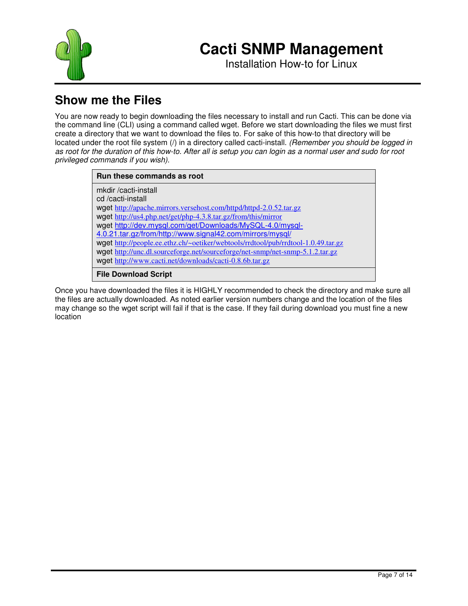

Installation How-to for Linux

## **Show me the Files**

You are now ready to begin downloading the files necessary to install and run Cacti. This can be done via the command line (CLI) using a command called wget. Before we start downloading the files we must first create a directory that we want to download the files to. For sake of this how-to that directory will be located under the root file system (/) in a directory called cacti-install. *(Remember you should be logged in* as root for the duration of this how-to. After all is setup you can login as a normal user and sudo for root *privileged commands if you wish).*

| Run these commands as root                                                        |
|-----------------------------------------------------------------------------------|
| mkdir /cacti-install                                                              |
| cd/cacti-install                                                                  |
| wget http://apache.mirrors.versehost.com/httpd/httpd-2.0.52.tar.gz                |
| wget http://us4.php.net/get/php-4.3.8.tar.gz/from/this/mirror                     |
| wget http://dev.mysql.com/get/Downloads/MySQL-4.0/mysql-                          |
| 4.0.21.tar.gz/from/http://www.signal42.com/mirrors/mysql/                         |
| wget http://people.ee.ethz.ch/~oetiker/webtools/rrdtool/pub/rrdtool-1.0.49.tar.gz |
| wget http://unc.dl.sourceforge.net/sourceforge/net-snmp/net-snmp-5.1.2.tar.gz     |
| wget http://www.cacti.net/downloads/cacti-0.8.6b.tar.gz                           |
| <b>File Download Script</b>                                                       |

Once you have downloaded the files it is HIGHLY recommended to check the directory and make sure all the files are actually downloaded. As noted earlier version numbers change and the location of the files may change so the wget script will fail if that is the case. If they fail during download you must fine a new location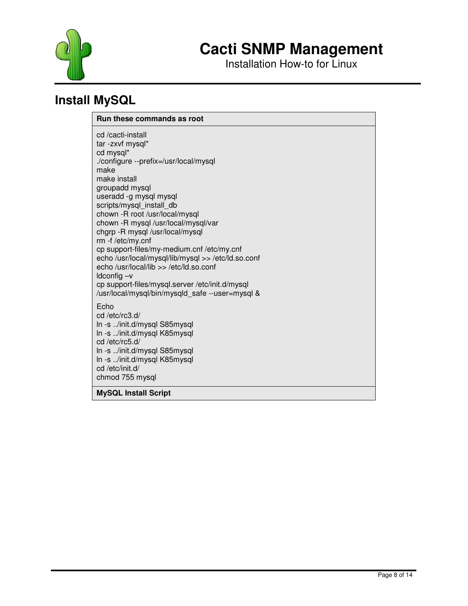



### **Install MySQL**

#### **Run these commands as root**

cd /cacti-install tar -zxvf mysql\* cd mysql\* ./configure --prefix=/usr/local/mysql make make install groupadd mysql useradd -g mysql mysql scripts/mysql\_install\_db chown -R root /usr/local/mysql chown -R mysql /usr/local/mysql/var chgrp -R mysql /usr/local/mysql rm -f /etc/my.cnf cp support-files/my-medium.cnf /etc/my.cnf echo /usr/local/mysql/lib/mysql >> /etc/ld.so.conf echo /usr/local/lib >> /etc/ld.so.conf ldconfig –v cp support-files/mysql.server /etc/init.d/mysql /usr/local/mysql/bin/mysqld\_safe --user=mysql & Echo cd /etc/rc3.d/ ln -s ../init.d/mysql S85mysql ln -s ../init.d/mysql K85mysql cd /etc/rc5.d/ ln -s ../init.d/mysql S85mysql ln -s ../init.d/mysql K85mysql cd /etc/init.d/

chmod 755 mysql

**MySQL Install Script**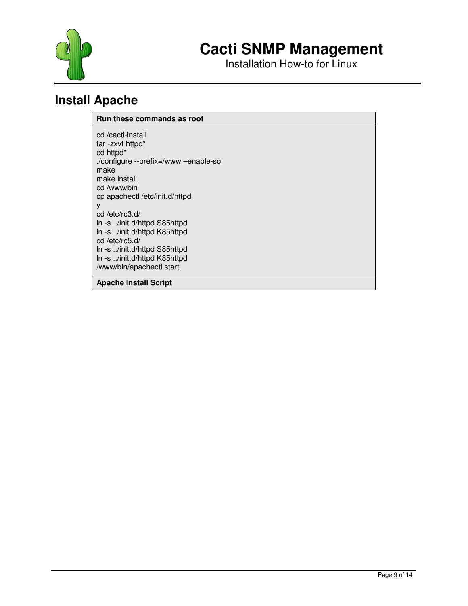



### **Install Apache**

#### **Run these commands as root**

cd /cacti-install tar -zxvf httpd\* cd httpd\* ./configure --prefix=/www –enable-so make make install cd /www/bin cp apachectl /etc/init.d/httpd y cd /etc/rc3.d/ ln -s ../init.d/httpd S85httpd ln -s ../init.d/httpd K85httpd cd /etc/rc5.d/ ln -s ../init.d/httpd S85httpd ln -s ../init.d/httpd K85httpd /www/bin/apachectl start

**Apache Install Script**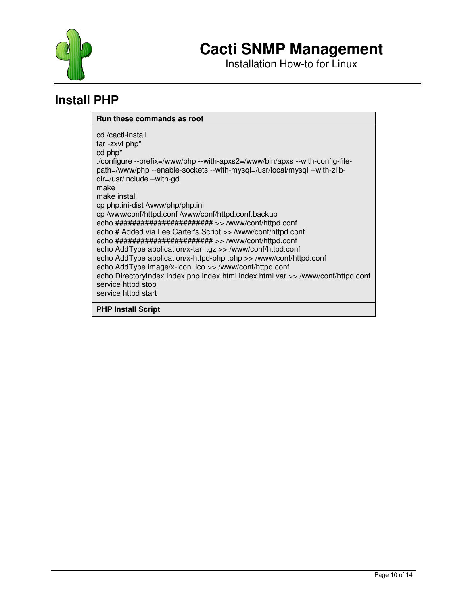

### **Install PHP**

#### **Run these commands as root**

**PHP Install Script**

cd /cacti-install tar -zxvf php\* cd php\* ./configure --prefix=/www/php --with-apxs2=/www/bin/apxs --with-config-filepath=/www/php --enable-sockets --with-mysql=/usr/local/mysql --with-zlibdir=/usr/include –with-gd make make install cp php.ini-dist /www/php/php.ini cp /www/conf/httpd.conf /www/conf/httpd.conf.backup echo ####################### >> /www/conf/httpd.conf echo # Added via Lee Carter's Script >> /www/conf/httpd.conf echo ####################### >> /www/conf/httpd.conf echo AddType application/x-tar .tgz >> /www/conf/httpd.conf echo AddType application/x-httpd-php .php >> /www/conf/httpd.conf echo AddType image/x-icon .ico >> /www/conf/httpd.conf echo DirectoryIndex index.php index.html index.html.var >> /www/conf/httpd.conf service httpd stop service httpd start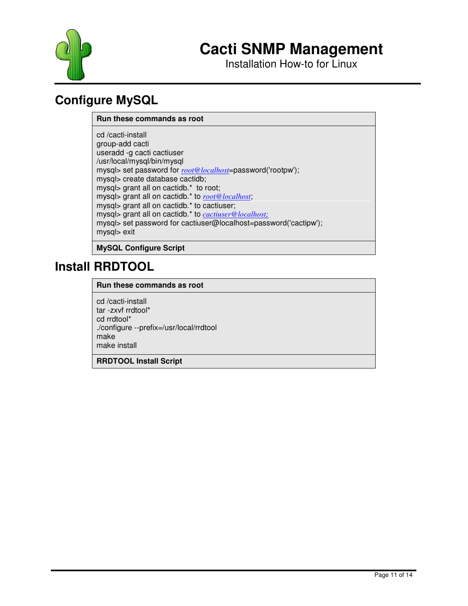

Installation How-to for Linux

## **Configure MySQL**

#### **Run these commands as root**

cd /cacti-install group-add cacti useradd -g cacti cactiuser /usr/local/mysql/bin/mysql mysql> set password for *root@localhost*=password('rootpw'); mysql> create database cactidb; mysql> grant all on cactidb.\* to root; mysql> grant all on cactidb.\* to *root@localhost*; mysql> grant all on cactidb.\* to cactiuser; mysql> grant all on cactidb.\* to *cactiuser@localhost;* mysql> set password for cactiuser@localhost=password('cactipw'); mysql> exit

**MySQL Configure Script**

### **Install RRDTOOL**

#### **Run these commands as root**

cd /cacti-install tar -zxvf rrdtool\* cd rrdtool\* ./configure --prefix=/usr/local/rrdtool make make install

#### **RRDTOOL Install Script**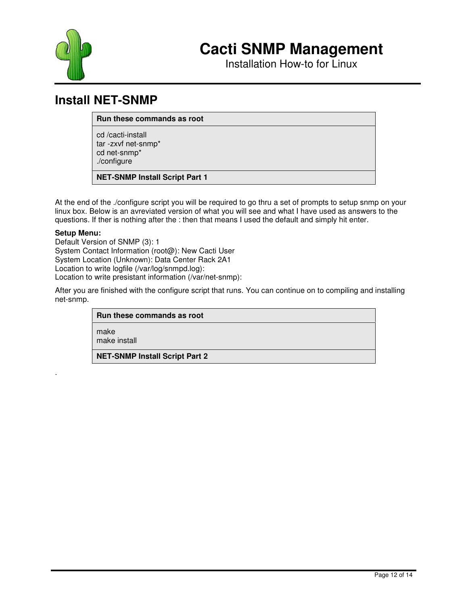



### **Install NET-SNMP**

**Run these commands as root**

cd /cacti-install tar -zxvf net-snmp\* cd net-snmp\* ./configure

**NET-SNMP Install Script Part 1**

At the end of the ./configure script you will be required to go thru a set of prompts to setup snmp on your linux box. Below is an avreviated version of what you will see and what I have used as answers to the questions. If ther is nothing after the : then that means I used the default and simply hit enter.

#### **Setup Menu:**

.

Default Version of SNMP (3): 1 System Contact Information (root@): New Cacti User System Location (Unknown): Data Center Rack 2A1 Location to write logfile (/var/log/snmpd.log): Location to write presistant information (/var/net-snmp):

After you are finished with the configure script that runs. You can continue on to compiling and installing net-snmp.

#### **Run these commands as root**

make

make install

**NET-SNMP Install Script Part 2**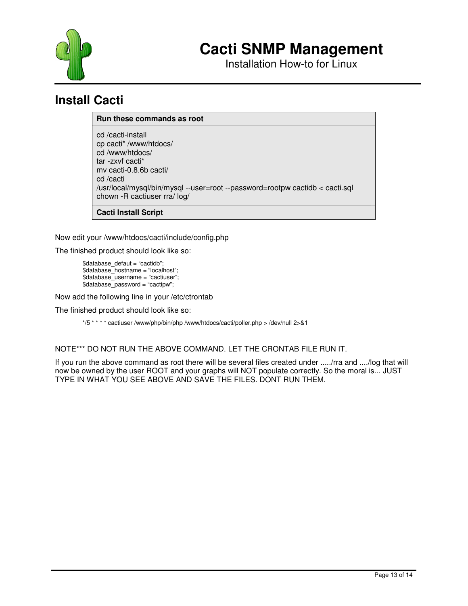

Installation How-to for Linux

### **Install Cacti**

#### **Run these commands as root**

cd /cacti-install cp cacti\* /www/htdocs/ cd /www/htdocs/ tar -zxvf cacti\* mv cacti-0.8.6b cacti/ cd /cacti /usr/local/mysql/bin/mysql --user=root --password=rootpw cactidb < cacti.sql chown -R cactiuser rra/ log/

**Cacti Install Script**

Now edit your /www/htdocs/cacti/include/config.php

The finished product should look like so:

\$database\_defaut = "cactidb"; \$database\_hostname = "localhost"; \$database\_username = "cactiuser"; \$database\_password = "cactipw";

Now add the following line in your /etc/ctrontab

The finished product should look like so:

\*/5 \* \* \* \* cactiuser /www/php/bin/php /www/htdocs/cacti/poller.php > /dev/null 2>&1

NOTE\*\*\* DO NOT RUN THE ABOVE COMMAND. LET THE CRONTAB FILE RUN IT.

If you run the above command as root there will be several files created under ...../rra and ..../log that will now be owned by the user ROOT and your graphs will NOT populate correctly. So the moral is... JUST TYPE IN WHAT YOU SEE ABOVE AND SAVE THE FILES. DONT RUN THEM.